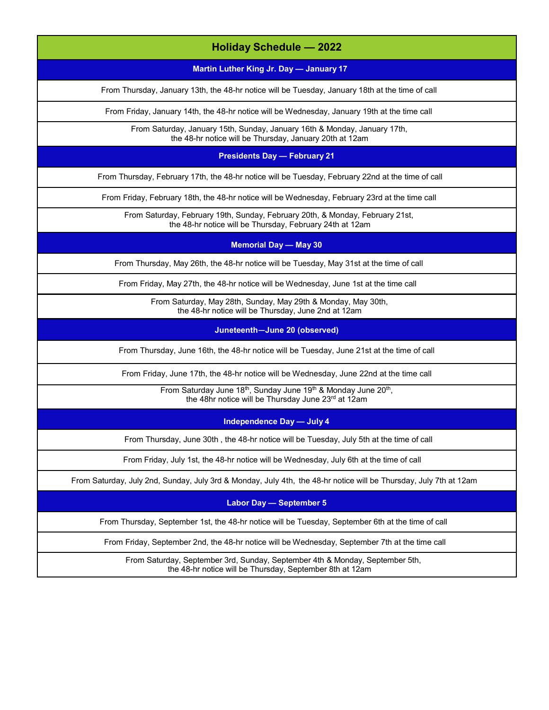| <b>Holiday Schedule - 2022</b>                                                                                                                            |
|-----------------------------------------------------------------------------------------------------------------------------------------------------------|
| Martin Luther King Jr. Day - January 17                                                                                                                   |
| From Thursday, January 13th, the 48-hr notice will be Tuesday, January 18th at the time of call                                                           |
| From Friday, January 14th, the 48-hr notice will be Wednesday, January 19th at the time call                                                              |
| From Saturday, January 15th, Sunday, January 16th & Monday, January 17th,<br>the 48-hr notice will be Thursday, January 20th at 12am                      |
| <b>Presidents Day - February 21</b>                                                                                                                       |
| From Thursday, February 17th, the 48-hr notice will be Tuesday, February 22nd at the time of call                                                         |
| From Friday, February 18th, the 48-hr notice will be Wednesday, February 23rd at the time call                                                            |
| From Saturday, February 19th, Sunday, February 20th, & Monday, February 21st,<br>the 48-hr notice will be Thursday, February 24th at 12am                 |
| <b>Memorial Day - May 30</b>                                                                                                                              |
| From Thursday, May 26th, the 48-hr notice will be Tuesday, May 31st at the time of call                                                                   |
| From Friday, May 27th, the 48-hr notice will be Wednesday, June 1st at the time call                                                                      |
| From Saturday, May 28th, Sunday, May 29th & Monday, May 30th,<br>the 48-hr notice will be Thursday, June 2nd at 12am                                      |
| Juneteenth-June 20 (observed)                                                                                                                             |
| From Thursday, June 16th, the 48-hr notice will be Tuesday, June 21st at the time of call                                                                 |
| From Friday, June 17th, the 48-hr notice will be Wednesday, June 22nd at the time call                                                                    |
| From Saturday June 18 <sup>th</sup> , Sunday June 19 <sup>th</sup> & Monday June 20 <sup>th</sup> ,<br>the 48hr notice will be Thursday June 23rd at 12am |
| <b>Independence Day - July 4</b>                                                                                                                          |
| From Thursday, June 30th, the 48-hr notice will be Tuesday, July 5th at the time of call                                                                  |
| From Friday, July 1st, the 48-hr notice will be Wednesday, July 6th at the time of call                                                                   |
| From Saturday, July 2nd, Sunday, July 3rd & Monday, July 4th, the 48-hr notice will be Thursday, July 7th at 12am                                         |
| <b>Labor Day - September 5</b>                                                                                                                            |
| From Thursday, September 1st, the 48-hr notice will be Tuesday, September 6th at the time of call                                                         |
| From Friday, September 2nd, the 48-hr notice will be Wednesday, September 7th at the time call                                                            |
| From Saturday, September 3rd, Sunday, September 4th & Monday, September 5th,<br>the 48-hr notice will be Thursday, September 8th at 12am                  |
|                                                                                                                                                           |